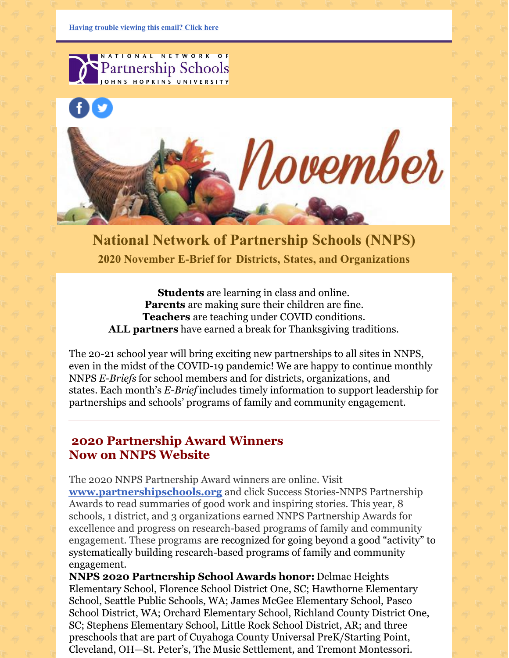

**National Network of Partnership Schools (NNPS) 2020 November E-Brief for [Districts,](https://ui.constantcontact.com/rnavmap/emcf/email/view?flow=view&camefrom=view&campaign=584f4ce7-c646-4f84-9174-5970413d58cc) States, and [Organizations](https://ui.constantcontact.com/rnavmap/emcf/email/view?flow=view&camefrom=view&campaign=584f4ce7-c646-4f84-9174-5970413d58cc)**

**Students** are learning in class and online. **Parents** are making sure their children are fine. **Teachers** are teaching under COVID conditions. **ALL partners** have earned a break for Thanksgiving traditions.

The 20-21 school year will bring exciting new partnerships to all sites in NNPS, even in the midst of the COVID-19 pandemic! We are happy to continue monthly NNPS *E-Briefs* for school members and for districts, organizations, and states. Each month's *E-Brief* includes timely information to support leadership for partnerships and schools' programs of family and community engagement.

#### **2020 Partnership Award Winners Now on NNPS Website**

The 2020 NNPS Partnership Award winners are online. Visit **[www.partnershipschools.org](http://www.partnershipschools.org/)** and click Success Stories-NNPS Partnership Awards to read summaries of good work and inspiring stories. This year, 8 schools, 1 district, and 3 organizations earned NNPS Partnership Awards for excellence and progress on research-based programs of family and community engagement. These programs are recognized for going beyond a good "activity" to systematically building research-based programs of family and community engagement.

**NNPS 2020 Partnership School Awards honor:** Delmae Heights Elementary School, Florence School District One, SC; Hawthorne Elementary School, Seattle Public Schools, WA; James McGee Elementary School, Pasco School District, WA; Orchard Elementary School, Richland County District One, SC; Stephens Elementary School, Little Rock School District, AR; and three preschools that are part of Cuyahoga County Universal PreK/Starting Point, Cleveland, OH—St. Peter's, The Music Settlement, and Tremont Montessori.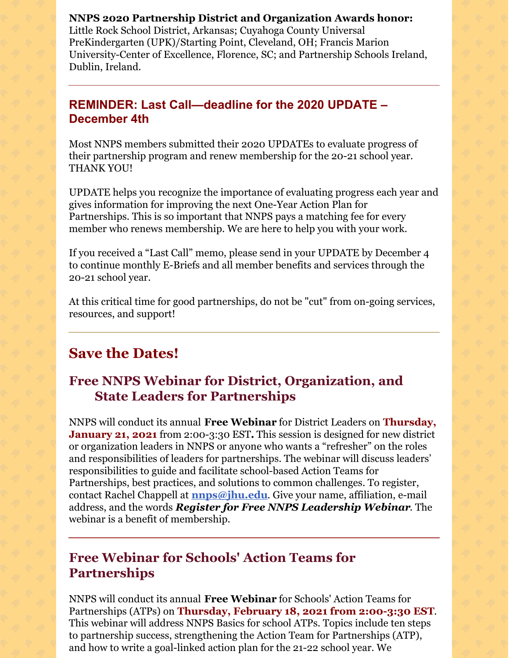**NNPS 2020 Partnership District and Organization Awards honor:** Little Rock School District, Arkansas; Cuyahoga County Universal PreKindergarten (UPK)/Starting Point, Cleveland, OH; Francis Marion University-Center of Excellence, Florence, SC; and Partnership Schools Ireland, Dublin, Ireland.

#### **REMINDER: Last Call—deadline for the 2020 UPDATE – December 4th**

Most NNPS members submitted their 2020 UPDATEs to evaluate progress of their partnership program and renew membership for the 20-21 school year. THANK YOU!

UPDATE helps you recognize the importance of evaluating progress each year and gives information for improving the next One-Year Action Plan for Partnerships. This is so important that NNPS pays a matching fee for every member who renews membership. We are here to help you with your work.

If you received a "Last Call" memo, please send in your UPDATE by December 4 to continue monthly E-Briefs and all member benefits and services through the 20-21 school year.

At this critical time for good partnerships, do not be "cut" from on-going services, resources, and support!

## **Save the Dates!**

## **Free NNPS Webinar for District, Organization, and State Leaders for Partnerships**

NNPS will conduct its annual **Free Webinar** for District Leaders on **Thursday, January 21, 2021** from 2:00-3:30 EST**.** This session is designed for new district or organization leaders in NNPS or anyone who wants a "refresher" on the roles and responsibilities of leaders for partnerships. The webinar will discuss leaders' responsibilities to guide and facilitate school-based Action Teams for Partnerships, best practices, and solutions to common challenges. To register, contact Rachel Chappell at **[nnps@jhu.edu](mailto:nnps@jhu.edu)**. Give your name, affiliation, e-mail address, and the words *Register for Free NNPS Leadership Webinar*. The webinar is a benefit of membership.

## **Free Webinar for Schools' Action Teams for Partnerships**

NNPS will conduct its annual **Free Webinar** for Schools' Action Teams for Partnerships (ATPs) on **Thursday, February 18, 2021 from 2:00-3:30 EST**. This webinar will address NNPS Basics for school ATPs. Topics include ten steps to partnership success, strengthening the Action Team for Partnerships (ATP), and how to write a goal-linked action plan for the 21-22 school year. We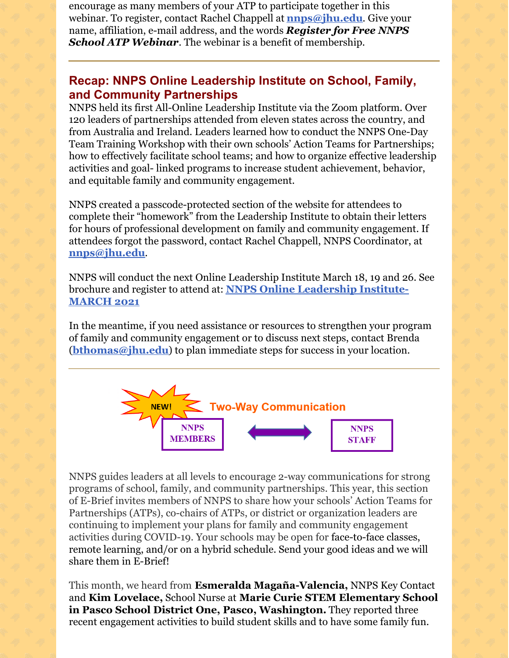encourage as many members of your ATP to participate together in this webinar. To register, contact Rachel Chappell at **[nnps@jhu.edu](mailto:nnps@jhu.edu)**. Give your name, affiliation, e-mail address, and the words *Register for Free NNPS School ATP Webinar*. The webinar is a benefit of membership.

#### **Recap: NNPS Online Leadership Institute on School, Family, and Community Partnerships**

NNPS held its first All-Online Leadership Institute via the Zoom platform. Over 120 leaders of partnerships attended from eleven states across the country, and from Australia and Ireland. Leaders learned how to conduct the NNPS One-Day Team Training Workshop with their own schools' Action Teams for Partnerships; how to effectively facilitate school teams; and how to organize effective leadership activities and goal- linked programs to increase student achievement, behavior, and equitable family and community engagement.

NNPS created a passcode-protected section of the website for attendees to complete their "homework" from the Leadership Institute to obtain their letters for hours of professional development on family and community engagement. If attendees forgot the password, contact Rachel Chappell, NNPS Coordinator, at **[nnps@jhu.edu](mailto:nnps@jhu.edu)**.

NNPS will conduct the next Online Leadership Institute March 18, 19 and 26. See brochure and register to attend at: **NNPS Online [Leadership](http://nnps.jhucsos.com/wp-content/uploads/2020/11/March-BROCHURE-for-website-Nov-9.pdf) Institute-MARCH 2021**

In the meantime, if you need assistance or resources to strengthen your program of family and community engagement or to discuss next steps, contact Brenda (**[bthomas@jhu.edu](mailto:bthomas@jhu.edu)**) to plan immediate steps for success in your location.



NNPS guides leaders at all levels to encourage 2-way communications for strong programs of school, family, and community partnerships. This year, this section of E-Brief invites members of NNPS to share how your schools' Action Teams for Partnerships (ATPs), co-chairs of ATPs, or district or organization leaders are continuing to implement your plans for family and community engagement activities during COVID-19. Your schools may be open for face-to-face classes, remote learning, and/or on a hybrid schedule. Send your good ideas and we will share them in E-Brief!

This month, we heard from **Esmeralda Magaña-Valencia,** NNPS Key Contact and **Kim Lovelace,** School Nurse at **Marie Curie STEM Elementary School in Pasco School District One, Pasco, Washington.** They reported three recent engagement activities to build student skills and to have some family fun.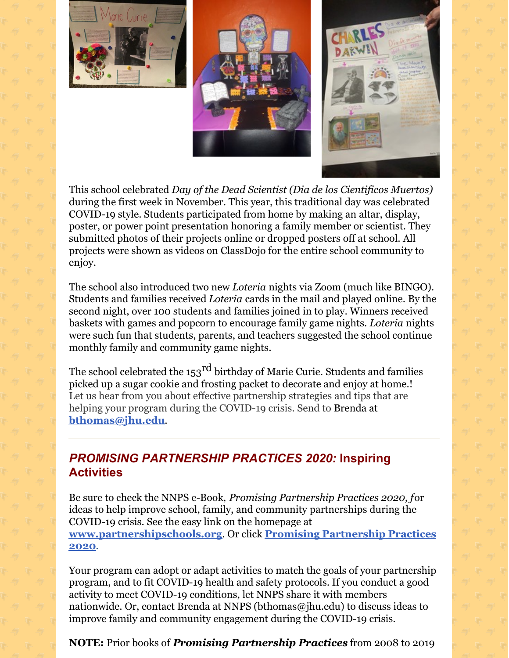





This school celebrated *Day of the Dead Scientist (Dia de los Cientificos Muertos)* during the first week in November. This year, this traditional day was celebrated COVID-19 style. Students participated from home by making an altar, display, poster, or power point presentation honoring a family member or scientist. They submitted photos of their projects online or dropped posters off at school. All projects were shown as videos on ClassDojo for the entire school community to enjoy.

The school also introduced two new *Loteria* nights via Zoom (much like BINGO). Students and families received *Loteria* cards in the mail and played online. By the second night, over 100 students and families joined in to play. Winners received baskets with games and popcorn to encourage family game nights. *Loteria* nights were such fun that students, parents, and teachers suggested the school continue monthly family and community game nights.

The school celebrated the 153 $^{\rm rd}$  birthday of Marie Curie. Students and families picked up a sugar cookie and frosting packet to decorate and enjoy at home.! Let us hear from you about effective partnership strategies and tips that are helping your program during the COVID-19 crisis. Send to Brenda at **[bthomas@jhu.edu](mailto:bthomas@jhu.edu)**.

### *PROMISING PARTNERSHIP PRACTICES 2020:* **Inspiring Activities**

Be sure to check the NNPS e-Book, *Promising Partnership Practices 2020, f*or ideas to help improve school, family, and community partnerships during the COVID-19 crisis. See the easy link on the homepage at **[www.partnershipschools.org](https://nam02.safelinks.protection.outlook.com/?url=http%3A%2F%2Fnnps.jhucsos.com%2Fwp-content%2Fuploads%2F2020%2F09%2FPPPBookFinal2020.pdf&data=02%7C01%7Cbthomas%40jhu.edu%7C913fcf561f4e4060d31108d86a0cc48c%7C9fa4f438b1e6473b803f86f8aedf0dec%7C0%7C0%7C637375950363466758&sdata=bKR7F7mSKU2S0lHSFT%2FyDEl%2FLi6LrumObf9xyk9fWm8%3D&reserved=0)**. Or click **Promising Partnership Practices 2020**.

Your program can adopt or adapt activities to match the goals of your partnership program, and to fit COVID-19 health and safety protocols. If you conduct a good activity to meet COVID-19 conditions, let NNPS share it with members nationwide. Or, contact Brenda at NNPS (bthomas@jhu.edu) to discuss ideas to improve family and community engagement during the COVID-19 crisis.

**NOTE:** Prior books of *Promising Partnership Practices* from 2008 to 2019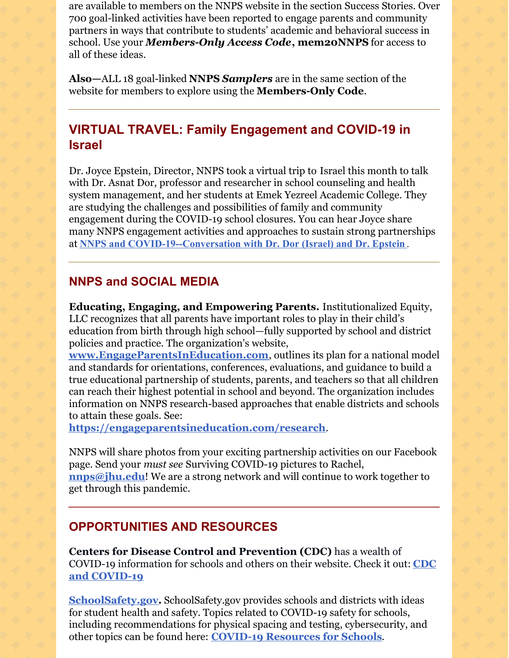are available to members on the NNPS website in the section Success Stories. Over 700 goal-linked activities have been reported to engage parents and community partners in ways that contribute to students' academic and behavioral success in school. Use your *Members-Only Access Code***, mem20NNPS** for access to all of these ideas.

**Also—**ALL 18 goal-linked **NNPS** *Samplers* are in the same section of the website for members to explore using the **Members-Only Code**.

## **VIRTUAL TRAVEL: Family Engagement and COVID-19 in Israel**

Dr. Joyce Epstein, Director, NNPS took a virtual trip to Israel this month to talk with Dr. Asnat Dor, professor and researcher in school counseling and health system management, and her students at Emek Yezreel Academic College. They are studying the challenges and possibilities of family and community engagement during the COVID-19 school closures. You can hear Joyce share many NNPS engagement activities and approaches to sustain strong partnerships at **NNPS and [COVID-19--Conversation](https://bit.ly/ZoomDorEpstein) with Dr. Dor (Israel) and Dr. Epstein** .

#### **NNPS and SOCIAL MEDIA**

**Educating, Engaging, and Empowering Parents.** Institutionalized Equity, LLC recognizes that all parents have important roles to play in their child's education from birth through high school—fully supported by school and district policies and practice. The organization's website,

**[www.EngageParentsInEducation.com](https://nam02.safelinks.protection.outlook.com/?url=http%3A%2F%2Fwww.engageparentsineducation.com%2F&data=04%7C01%7Cjepstein%40jhu.edu%7Cc1438d408f5546a3efbf08d873c2d0bc%7C9fa4f438b1e6473b803f86f8aedf0dec%7C0%7C0%7C637386627851871736%7CUnknown%7CTWFpbGZsb3d8eyJWIjoiMC4wLjAwMDAiLCJQIjoiV2luMzIiLCJBTiI6Ik1haWwiLCJXVCI6Mn0%3D%7C1000&sdata=Zijp%2BEr4t2ZfVSnQbELx%2FdqSrgcXQnVM24tncjE571c%3D&reserved=0)**, outlines its plan for a national model and standards for orientations, conferences, evaluations, and guidance to build a true educational partnership of students, parents, and teachers so that all children can reach their highest potential in school and beyond. The organization includes information on NNPS research-based approaches that enable districts and schools to attain these goals. See:

**<https://engageparentsineducation.com/research>**.

NNPS will share photos from your exciting partnership activities on our Facebook page. Send your *must see* Surviving COVID-19 pictures to Rachel, **[nnps@jhu.edu](mailto:nnps@jhu.edu)**! We are a strong network and will continue to work together to get through this pandemic.

#### **OPPORTUNITIES AND RESOURCES**

**Centers for Disease Control and Prevention (CDC)** has a wealth of COVID-19 [information](https://www.cdc.gov/coronavirus/2019-ncov/community/schools-childcare/index.html) for schools and others on their website. Check it out: **CDC and COVID-19**

**[SchoolSafety.gov](https://www.schoolsafety.gov/).** SchoolSafety.gov provides schools and districts with ideas for student health and safety. Topics related to COVID-19 safety for schools, including recommendations for physical spacing and testing, cybersecurity, and other topics can be found here: **COVID-19 [Resources](https://www.schoolsafety.gov/covid-19-resources-schools) for Schools**.